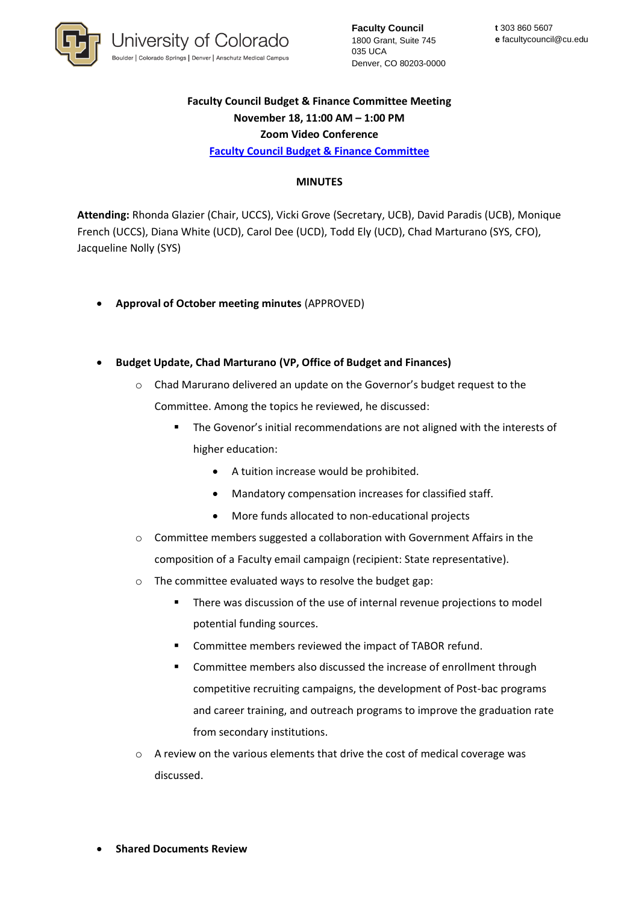

**Faculty Council** 1800 Grant, Suite 745 035 UCA Denver, CO 80203-0000

## **Faculty Council Budget & Finance Committee Meeting November 18, 11:00 AM – 1:00 PM Zoom Video Conference [Faculty Council Budget & Finance Committee](https://www.cu.edu/faculty-council/committees/faculty-council-budget-committee)**

## **MINUTES**

**Attending:** Rhonda Glazier (Chair, UCCS), Vicki Grove (Secretary, UCB), David Paradis (UCB), Monique French (UCCS), Diana White (UCD), Carol Dee (UCD), Todd Ely (UCD), Chad Marturano (SYS, CFO), Jacqueline Nolly (SYS)

- **Approval of October meeting minutes** (APPROVED)
- **Budget Update, Chad Marturano (VP, Office of Budget and Finances)**
	- o Chad Marurano delivered an update on the Governor's budget request to the Committee. Among the topics he reviewed, he discussed:
		- The Govenor's initial recommendations are not aligned with the interests of higher education:
			- A tuition increase would be prohibited.
			- Mandatory compensation increases for classified staff.
			- More funds allocated to non-educational projects
	- o Committee members suggested a collaboration with Government Affairs in the composition of a Faculty email campaign (recipient: State representative).
	- o The committee evaluated ways to resolve the budget gap:
		- There was discussion of the use of internal revenue projections to model potential funding sources.
		- Committee members reviewed the impact of TABOR refund.
		- Committee members also discussed the increase of enrollment through competitive recruiting campaigns, the development of Post-bac programs and career training, and outreach programs to improve the graduation rate from secondary institutions.
	- o A review on the various elements that drive the cost of medical coverage was discussed.